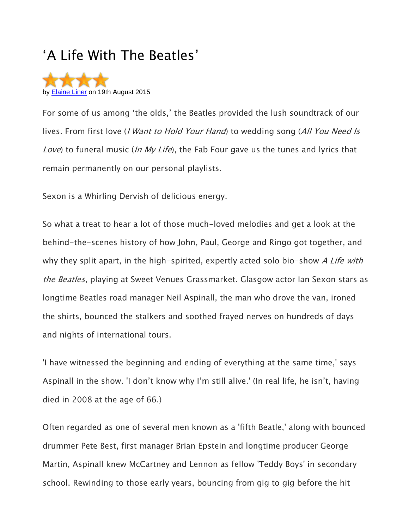## 'A Life With The Beatles'



For some of us among 'the olds,' the Beatles provided the lush soundtrack of our lives. From first love (*I Want to Hold Your Hand*) to wedding song (All You Need Is Love) to funeral music (In My Life), the Fab Four gave us the tunes and lyrics that remain permanently on our personal playlists.

Sexon is a Whirling Dervish of delicious energy.

So what a treat to hear a lot of those much-loved melodies and get a look at the behind-the-scenes history of how John, Paul, George and Ringo got together, and why they split apart, in the high-spirited, expertly acted solo bio-show A Life with the Beatles, playing at Sweet Venues Grassmarket. Glasgow actor Ian Sexon stars as longtime Beatles road manager Neil Aspinall, the man who drove the van, ironed the shirts, bounced the stalkers and soothed frayed nerves on hundreds of days and nights of international tours.

'I have witnessed the beginning and ending of everything at the same time,' says Aspinall in the show. 'I don't know why I'm still alive.' (In real life, he isn't, having died in 2008 at the age of 66.)

Often regarded as one of several men known as a 'fifth Beatle,' along with bounced drummer Pete Best, first manager Brian Epstein and longtime producer George Martin, Aspinall knew McCartney and Lennon as fellow 'Teddy Boys' in secondary school. Rewinding to those early years, bouncing from gig to gig before the hit